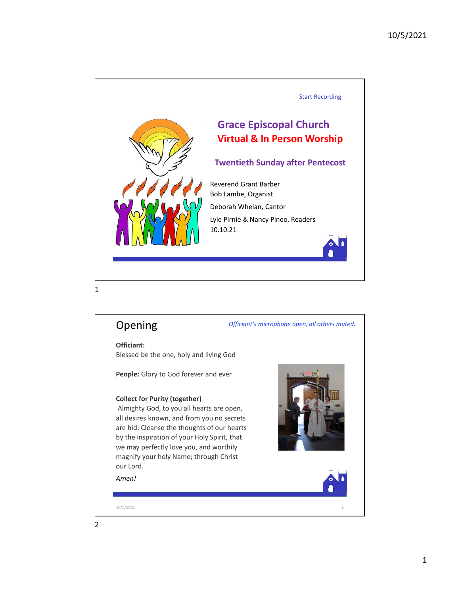

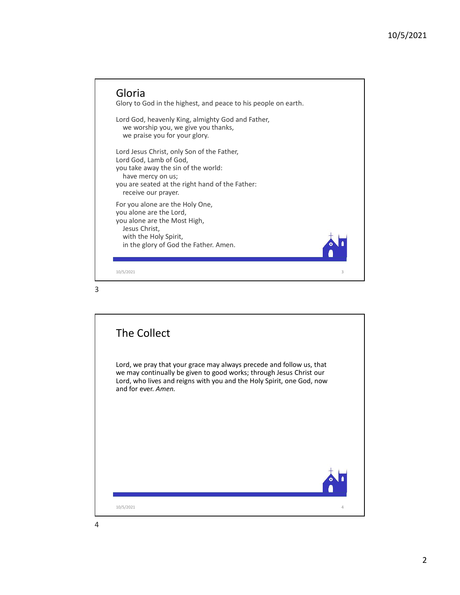



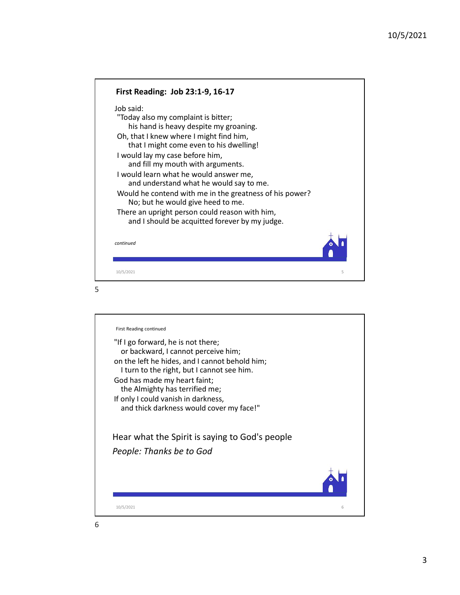

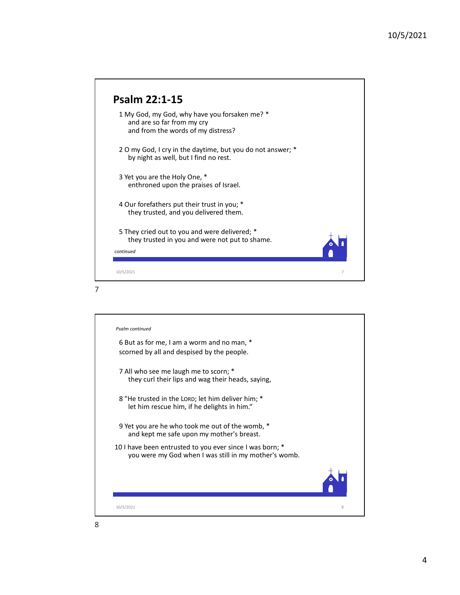

| they trusted, and you delivered them.                                                                             |                |  |
|-------------------------------------------------------------------------------------------------------------------|----------------|--|
| 5 They cried out to you and were delivered; *<br>they trusted in you and were not put to shame.<br>continued      |                |  |
| 10/5/2021                                                                                                         | $\overline{7}$ |  |
|                                                                                                                   |                |  |
|                                                                                                                   |                |  |
| Psalm continued                                                                                                   |                |  |
| 6 But as for me, I am a worm and no man, *                                                                        |                |  |
| scorned by all and despised by the people.                                                                        |                |  |
| 7 All who see me laugh me to scorn; *                                                                             |                |  |
| they curl their lips and wag their heads, saying,                                                                 |                |  |
| 8 "He trusted in the LORD; let him deliver him; *                                                                 |                |  |
| let him rescue him, if he delights in him."                                                                       |                |  |
| 9 Yet you are he who took me out of the womb, *                                                                   |                |  |
| and kept me safe upon my mother's breast.                                                                         |                |  |
| 10 I have been entrusted to you ever since I was born; *<br>you were my God when I was still in my mother's womb. |                |  |
|                                                                                                                   |                |  |
|                                                                                                                   |                |  |
|                                                                                                                   |                |  |
| 10/5/2021                                                                                                         | 8              |  |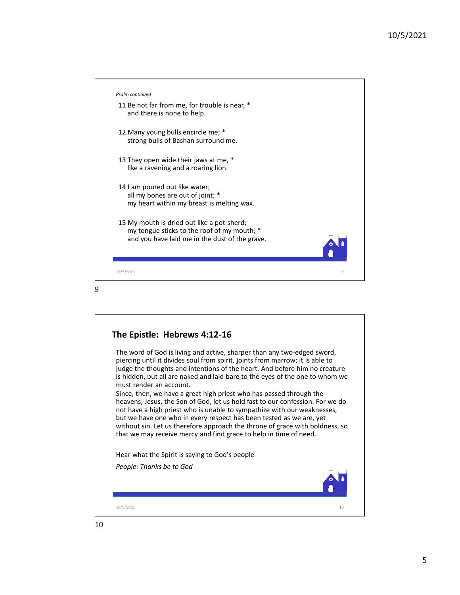| Psalm continued                                                                                                                             |         |  |
|---------------------------------------------------------------------------------------------------------------------------------------------|---------|--|
| 11 Be not far from me, for trouble is near, *<br>and there is none to help.                                                                 |         |  |
| 12 Many young bulls encircle me; *<br>strong bulls of Bashan surround me.                                                                   |         |  |
| 13 They open wide their jaws at me, *<br>like a ravening and a roaring lion.                                                                |         |  |
| 14 I am poured out like water;<br>all my bones are out of joint; *<br>my heart within my breast is melting wax.                             |         |  |
| 15 My mouth is dried out like a pot-sherd;<br>my tongue sticks to the roof of my mouth; *<br>and you have laid me in the dust of the grave. |         |  |
| 10/5/2021                                                                                                                                   | $\circ$ |  |
|                                                                                                                                             |         |  |
|                                                                                                                                             |         |  |
|                                                                                                                                             |         |  |

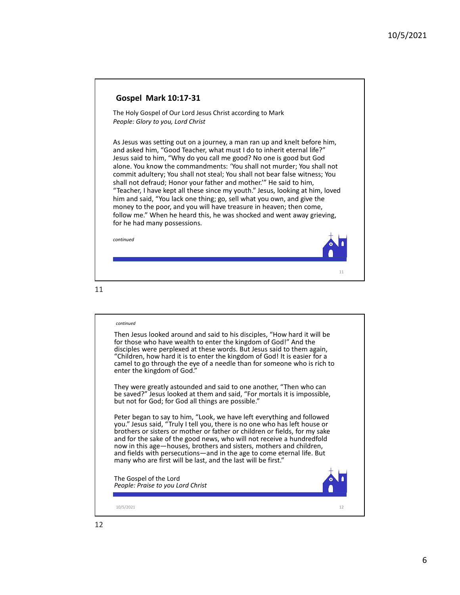

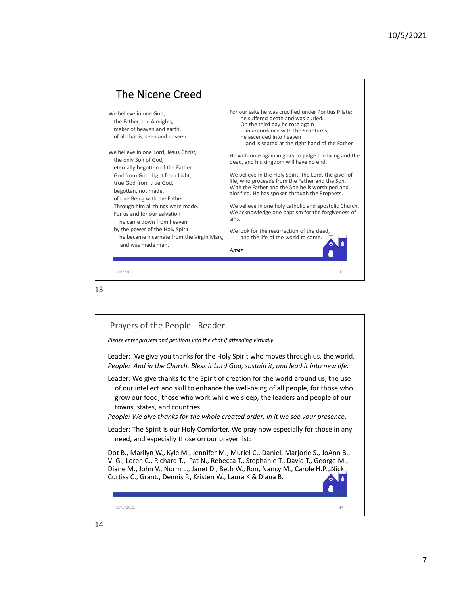



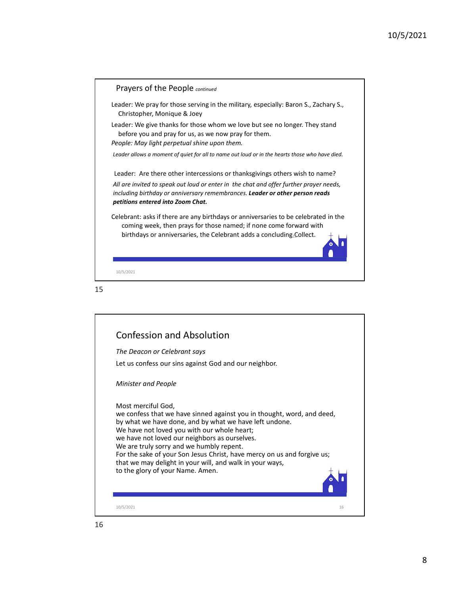

15

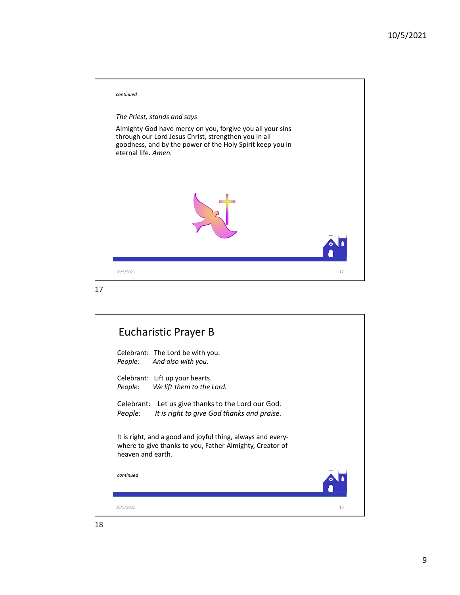



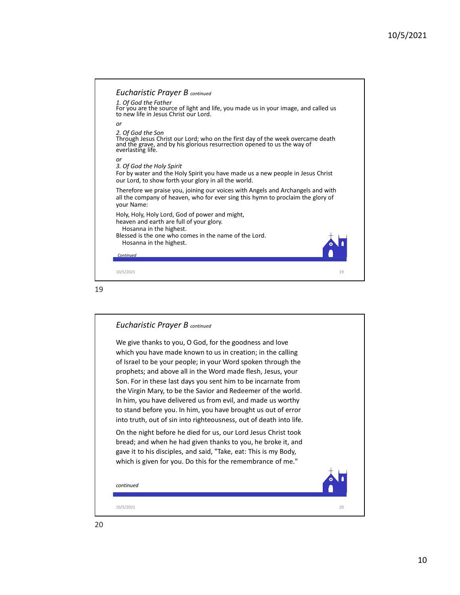

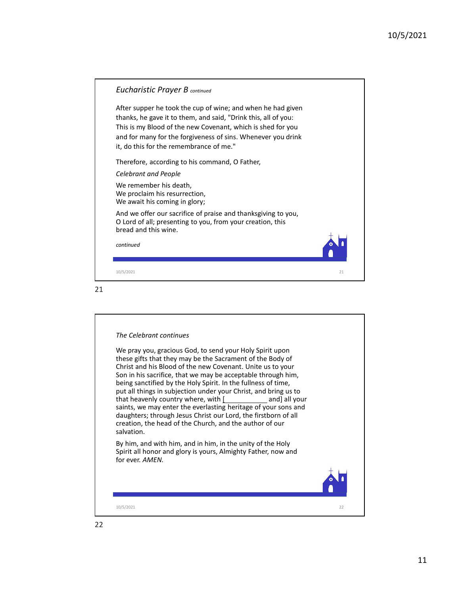| <b>Eucharistic Prayer B continued</b>                                                                                                                                                                                                                                                                   |    |
|---------------------------------------------------------------------------------------------------------------------------------------------------------------------------------------------------------------------------------------------------------------------------------------------------------|----|
| After supper he took the cup of wine; and when he had given<br>thanks, he gave it to them, and said, "Drink this, all of you:<br>This is my Blood of the new Covenant, which is shed for you<br>and for many for the forgiveness of sins. Whenever you drink<br>it, do this for the remembrance of me." |    |
| Therefore, according to his command, O Father,                                                                                                                                                                                                                                                          |    |
| Celebrant and People                                                                                                                                                                                                                                                                                    |    |
| We remember his death,<br>We proclaim his resurrection,<br>We await his coming in glory;                                                                                                                                                                                                                |    |
| And we offer our sacrifice of praise and thanksgiving to you,<br>O Lord of all; presenting to you, from your creation, this<br>bread and this wine.                                                                                                                                                     |    |
| continued                                                                                                                                                                                                                                                                                               |    |
| 10/5/2021                                                                                                                                                                                                                                                                                               | 21 |
|                                                                                                                                                                                                                                                                                                         |    |
|                                                                                                                                                                                                                                                                                                         |    |
|                                                                                                                                                                                                                                                                                                         |    |



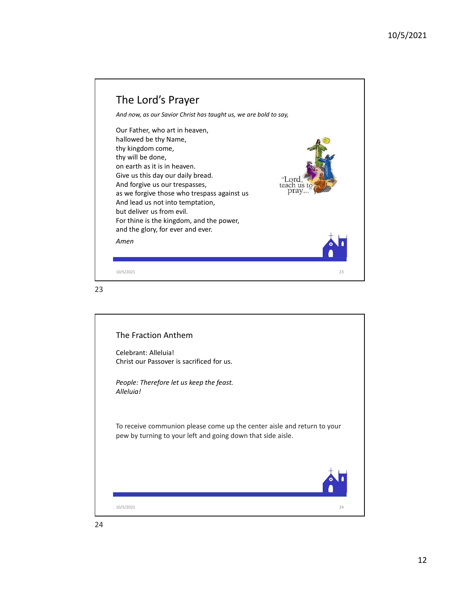



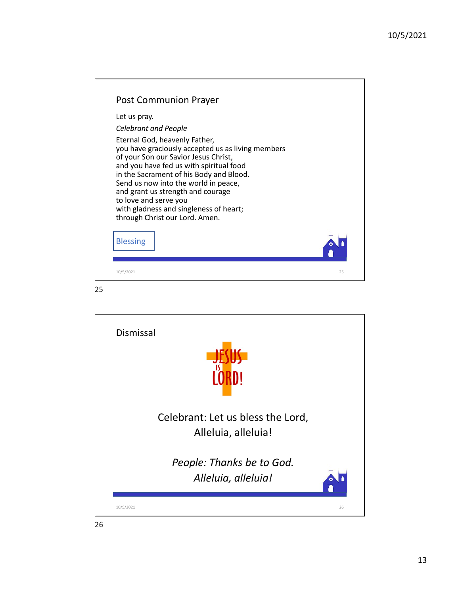